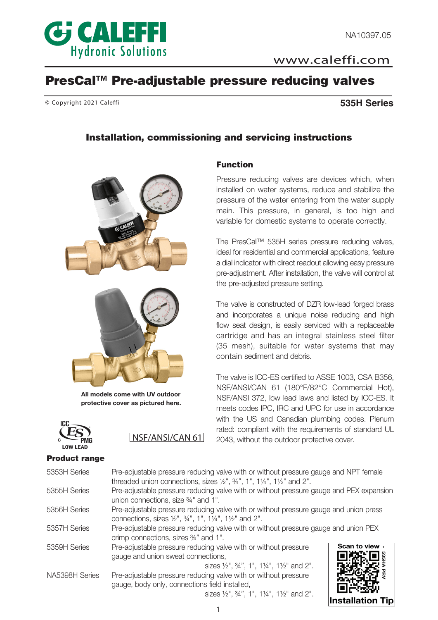

www.caleffi.com

# PresCal™ Pre-adjustable pressure reducing valves

© Copyright 2021 Caleffi **535H Series**

# Installation, commissioning and servicing instructions

Function





All models come with UV outdoor protective cover as pictured here.

NSF/ANSI/CAN 61



#### Product range

| Product range  |                                                                                                                                                                    |                                                                                      |  |  |  |  |
|----------------|--------------------------------------------------------------------------------------------------------------------------------------------------------------------|--------------------------------------------------------------------------------------|--|--|--|--|
| 5353H Series   | threaded union connections, sizes $\frac{1}{2}$ , $\frac{3}{4}$ , 1, 1, $\frac{1}{4}$ , 1 $\frac{1}{2}$ , and 2".                                                  | Pre-adjustable pressure reducing valve with or without pressure gauge and NPT female |  |  |  |  |
| 5355H Series   | Pre-adjustable pressure reducing valve with or without pressure gauge and PEX expansion<br>union connections, size 34" and 1".                                     |                                                                                      |  |  |  |  |
| 5356H Series   | Pre-adjustable pressure reducing valve with or without pressure gauge and union press<br>connections, sizes $1/2$ ", $3/4$ ", $1\%$ ", $1/4$ ", $1/2$ " and $2$ ". |                                                                                      |  |  |  |  |
| 5357H Series   | Pre-adjustable pressure reducing valve with or without pressure gauge and union PEX<br>crimp connections, sizes 34" and 1".                                        |                                                                                      |  |  |  |  |
| 5359H Series   | Pre-adjustable pressure reducing valve with or without pressure<br>gauge and union sweat connections,<br>sizes 1/2", 3/4", 1", 11/4", 11/2" and 2".                | Scan to view.                                                                        |  |  |  |  |
| NA5398H Series | Pre-adjustable pressure reducing valve with or without pressure<br>gauge, body only, connections field installed,                                                  |                                                                                      |  |  |  |  |

sizes ½", ¾", 1", 1¼", 1½" and 2".



installed on water systems, reduce and stabilize the pressure of the water entering from the water supply main. This pressure, in general, is too high and variable for domestic systems to operate correctly.

Pressure reducing valves are devices which, when

The PresCal™ 535H series pressure reducing valves, ideal for residential and commercial applications, feature a dial indicator with direct readout allowing easy pressure pre-adjustment. After installation, the valve will control at the pre-adjusted pressure setting.

The valve is constructed of DZR low-lead forged brass and incorporates a unique noise reducing and high flow seat design, is easily serviced with a replaceable cartridge and has an integral stainless steel filter (35 mesh), suitable for water systems that may contain sediment and debris.

The valve is ICC-ES certified to ASSE 1003, CSA B356, NSF/ANSI/CAN 61 (180°F/82°C Commercial Hot), NSF/ANSI 372, low lead laws and listed by ICC-ES. It meets codes IPC, IRC and UPC for use in accordance with the US and Canadian plumbing codes. Plenum rated: compliant with the requirements of standard UL 2043, without the outdoor protective cover.

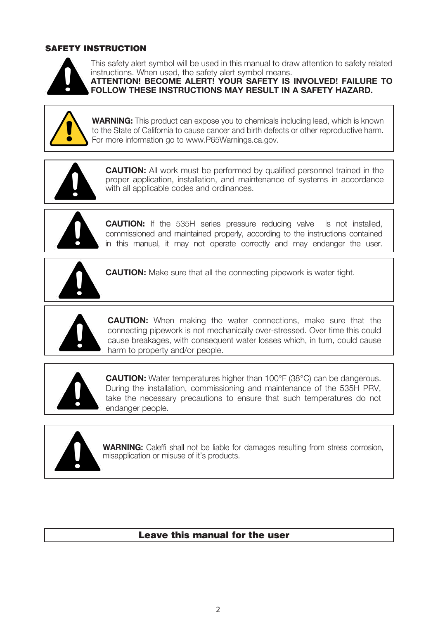# SAFETY INSTRUCTION



This safety alert symbol will be used in this manual to draw attention to safety related instructions. When used, the safety alert symbol means.

ATTENTION! BECOME ALERT! YOUR SAFETY IS INVOLVED! FAILURE TO FOLLOW THESE INSTRUCTIONS MAY RESULT IN A SAFETY HAZARD.



WARNING: This product can expose you to chemicals including lead, which is known to the State of California to cause cancer and birth defects or other reproductive harm. For more information go to www.P65Warnings.ca.gov.



CAUTION: All work must be performed by qualified personnel trained in the proper application, installation, and maintenance of systems in accordance with all applicable codes and ordinances.



CAUTION: If the 535H series pressure reducing valve is not installed, commissioned and maintained properly, according to the instructions contained in this manual, it may not operate correctly and may endanger the user.



**CAUTION:** Make sure that all the connecting pipework is water tight.



**CAUTION:** When making the water connections, make sure that the connecting pipework is not mechanically over-stressed. Over time this could cause breakages, with consequent water losses which, in turn, could cause harm to property and/or people.



CAUTION: Water temperatures higher than 100°F (38°C) can be dangerous. During the installation, commissioning and maintenance of the 535H PRV, take the necessary precautions to ensure that such temperatures do not endanger people.



WARNING: Caleffi shall not be liable for damages resulting from stress corrosion, misapplication or misuse of it's products.

# Leave this manual for the user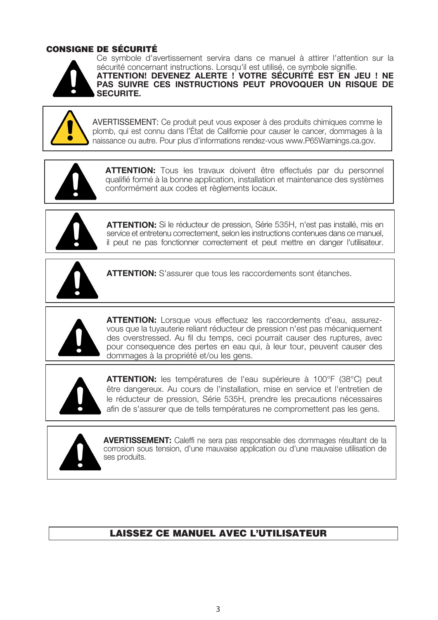# CONSIGNE DE SÉCURITÉ



Ce symbole d'avertissement servira dans ce manuel à attirer l'attention sur la sécurité concernant instructions. Lorsqu'il est utilisé, ce symbole signifie.

ATTENTION! DEVENEZ ALERTE ! VOTRE SÉCURITÉ EST EN JEU ! NE PAS SUIVRE CES INSTRUCTIONS PEUT PROVOQUER UN RISQUE DE SECURITE.



AVERTISSEMENT: Ce produit peut vous exposer à des produits chimiques comme le plomb, qui est connu dans l'État de Californie pour causer le cancer, dommages à la naissance ou autre. Pour plus d'informations rendez-vous www.P65Warnings.ca.gov.



ATTENTION: Tous les travaux doivent être effectués par du personnel qualifié formé à la bonne application, installation et maintenance des systèmes conformément aux codes et règlements locaux.



ATTENTION: Si le réducteur de pression, Série 535H, n'est pas installé, mis en service et entretenu correctement, selon les instructions contenues dans ce manuel, il peut ne pas fonctionner correctement et peut mettre en danger l'utilisateur.



**ATTENTION:** S'assurer que tous les raccordements sont étanches.



ATTENTION: Lorsque vous effectuez les raccordements d'eau, assurezvous que la tuyauterie reliant réducteur de pression n'est pas mécaniquement des overstressed. Au fil du temps, ceci pourrait causer des ruptures, avec pour consequence des pertes en eau qui, à leur tour, peuvent causer des dommages à la propriété et/ou les gens.



ATTENTION: les températures de l'eau supérieure à 100°F (38°C) peut être dangereux. Au cours de l'installation, mise en service et l'entretien de le réducteur de pression, Série 535H, prendre les precautions nécessaires afin de s'assurer que de tells températures ne compromettent pas les gens.



 AVERTISSEMENT: Caleffi ne sera pas responsable des dommages résultant de la corrosion sous tension, d'une mauvaise application ou d'une mauvaise utilisation de ses produits.

# LAISSEZ CE MANUEL AVEC L'UTILISATEUR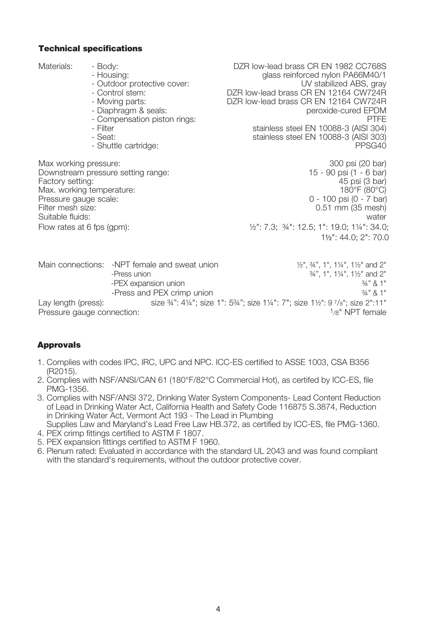### Technical specifications

Materials: - Body: - - Body: - - DZR low-lead brass CR EN 1982 CC768S<br>1/001/https://www.particle.com/gass.reinforced.nylon\_PA66M40/1 glass reinforced nylon PA66M40/1<br>UV stabilized ABS, grav - Outdoor protective cover:<br>- Control stem: - Control stem: DZR low-lead brass CR EN 12164 CW724R DZR low-lead brass CR EN 12164 CW724R<br>peroxide-cured EPDM - Diaphragm & seals:<br>- Compensation pistop rings: peroxide-cured EPDM<br>PTFF - Compensation piston rings:<br>- Filter - Filter stainless steel EN 10088-3 (AISI 304)<br>- Seat: stainless steel EN 10088-3 (AISI 303) stainless steel EN 10088-3 (AISI 303)<br>PPSG40 - Shuttle cartridge: Max working pressure: 300 psi (20 bar)<br>
Downstream pressure setting range: 300 psi (1 - 6 bar) Downstream pressure setting range:<br>
Factory setting: 15 - 90 psi (1 - 6 bar)<br>
15 - 90 psi (1 - 6 bar) Factory setting: 45 psi (3 bar) Max. working temperature: 180°F (80°C)<br>Pressure gauge scale: 180°F (80°C) + 100 psi (0 - 7 bar) Pressure gauge scale:<br>Filter mesh size: 0.51 mm (35 mesh)<br>water Suitable fluids: Flow rates at 6 fps (gpm): ½": 7.3; ¾": 12.5; 1": 19.0; 1¼": 34.0; 1½": 44.0; 2": 70.0 Main connections: -NPT female and sweat union ½", ¾", 1", 1¼", 1½" and 2"  $-34$ ", 1", 11/<sub>4</sub>", 11/<sub>2</sub>" and 2" -PEX expansion union  $\frac{34}{8}$  1"

-Press and PEX crimp union  $\frac{3}{4}$ " & 1" Lay length (press): size  $\frac{3}{4}$ ": 414"; size 1": 534"; size 114": 7"; size 112": 97/8"; size 2":11"<br>Pressure gauge connection: size 34": 414"; size 1": 534"; size 114": 7"; size 112": 97/8" NPT female Pressure gauge connection:

# Approvals

- 1. Complies with codes IPC, IRC, UPC and NPC. ICC-ES certified to ASSE 1003, CSA B356 (R2015).
- 2. Complies with NSF/ANSI/CAN 61 (180°F/82°C Commercial Hot), as certifed by ICC-ES, file PMG-1356.
- 3. Complies with NSF/ANSI 372, Drinking Water System Components- Lead Content Reduction of Lead in Drinking Water Act, California Health and Safety Code 116875 S.3874, Reduction in Drinking Water Act, Vermont Act 193 - The Lead in Plumbing Supplies Law and Maryland's Lead Free Law HB.372, as certified by ICC-ES, file PMG-1360.
- 4. PEX crimp fittings certified to ASTM F 1807.
- 5. PEX expansion fittings certified to ASTM F 1960.
- 6. Plenum rated: Evaluated in accordance with the standard UL 2043 and was found compliant with the standard's requirements, without the outdoor protective cover.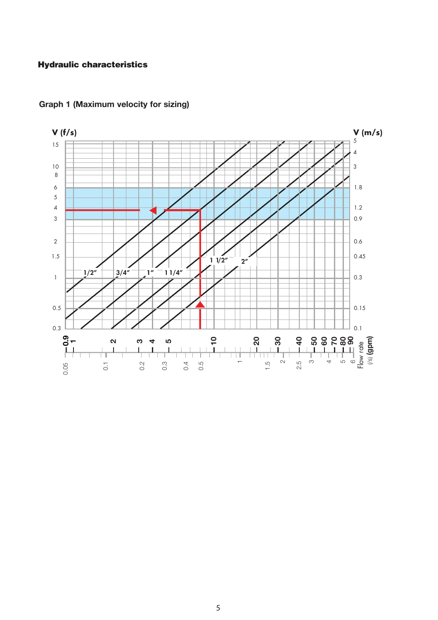## Hydraulic characteristics



# Graph 1 (Maximum velocity for sizing)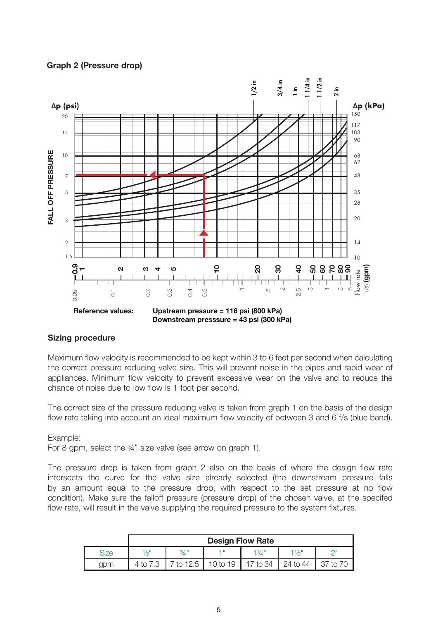#### Graph 2 (Pressure drop)



#### Sizing procedure

Maximum flow velocity is recommended to be kept within 3 to 6 feet per second when calculating the correct pressure reducing valve size. This will prevent noise in the pipes and rapid wear of appliances. Minimum flow velocity to prevent excessive wear on the valve and to reduce the chance of noise due to low flow is 1 foot per second.

The correct size of the pressure reducing valve is taken from graph 1 on the basis of the design flow rate taking into account an ideal maximum flow velocity of between 3 and 6 f/s (blue band).

#### Example:

For 8 gpm, select the ¾" size valve (see arrow on graph 1).

The pressure drop is taken from graph 2 also on the basis of where the design flow rate intersects the curve for the valve size already selected (the downstream pressure falls by an amount equal to the pressure drop, with respect to the set pressure at no flow condition). Make sure the falloff pressure (pressure drop) of the chosen valve, at the specifed flow rate, will result in the valve supplying the required pressure to the system fixtures.

|             | <b>Design Flow Rate</b> |         |          |          |          |  |
|-------------|-------------------------|---------|----------|----------|----------|--|
| <b>Size</b> | 1/2"                    | $3/4$ " |          | 114"     | 11/6"    |  |
| gpm         | $4$ to $^{\circ}$       | to 12.5 | 10 to 19 | 17 to 34 | 24 to 44 |  |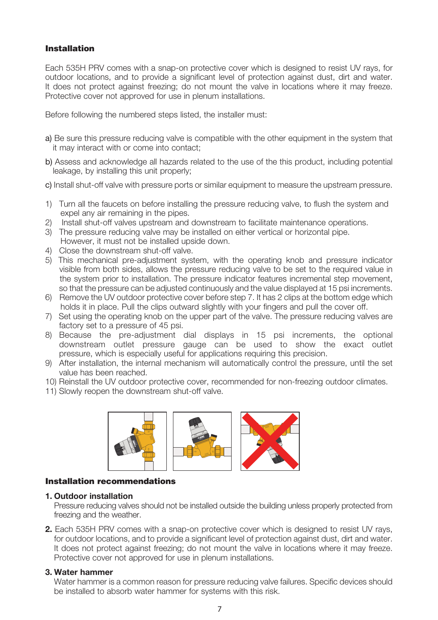## Installation

Each 535H PRV comes with a snap-on protective cover which is designed to resist UV rays, for outdoor locations, and to provide a significant level of protection against dust, dirt and water. It does not protect against freezing; do not mount the valve in locations where it may freeze. Protective cover not approved for use in plenum installations.

Before following the numbered steps listed, the installer must:

- a) Be sure this pressure reducing valve is compatible with the other equipment in the system that it may interact with or come into contact;
- b) Assess and acknowledge all hazards related to the use of the this product, including potential leakage, by installing this unit properly;
- c) Install shut-off valve with pressure ports or similar equipment to measure the upstream pressure.
- 1) Turn all the faucets on before installing the pressure reducing valve, to flush the system and expel any air remaining in the pipes.
- 2) Install shut-off valves upstream and downstream to facilitate maintenance operations.
- 3) The pressure reducing valve may be installed on either vertical or horizontal pipe. However, it must not be installed upside down.
- 4) Close the downstream shut-off valve.
- 5) This mechanical pre-adjustment system, with the operating knob and pressure indicator visible from both sides, allows the pressure reducing valve to be set to the required value in the system prior to installation. The pressure indicator features incremental step movement, so that the pressure can be adjusted continuously and the value displayed at 15 psi increments.
- 6) Remove the UV outdoor protective cover before step 7. It has 2 clips at the bottom edge which holds it in place. Pull the clips outward slightly with your fingers and pull the cover off.
- 7) Set using the operating knob on the upper part of the valve. The pressure reducing valves are factory set to a pressure of 45 psi.
- 8) Because the pre-adjustment dial displays in 15 psi increments, the optional downstream outlet pressure gauge can be used to show the exact outlet pressure, which is especially useful for applications requiring this precision.
- 9) After installation, the internal mechanism will automatically control the pressure, until the set value has been reached.
- 10) Reinstall the UV outdoor protective cover, recommended for non-freezing outdoor climates.
- 11) Slowly reopen the downstream shut-off valve.



#### Installation recommendations

#### 1. Outdoor installation

Pressure reducing valves should not be installed outside the building unless properly protected from freezing and the weather.

2. Each 535H PRV comes with a snap-on protective cover which is designed to resist UV rays, for outdoor locations, and to provide a significant level of protection against dust, dirt and water. It does not protect against freezing; do not mount the valve in locations where it may freeze. Protective cover not approved for use in plenum installations.

#### 3. Water hammer

Water hammer is a common reason for pressure reducing valve failures. Specific devices should be installed to absorb water hammer for systems with this risk.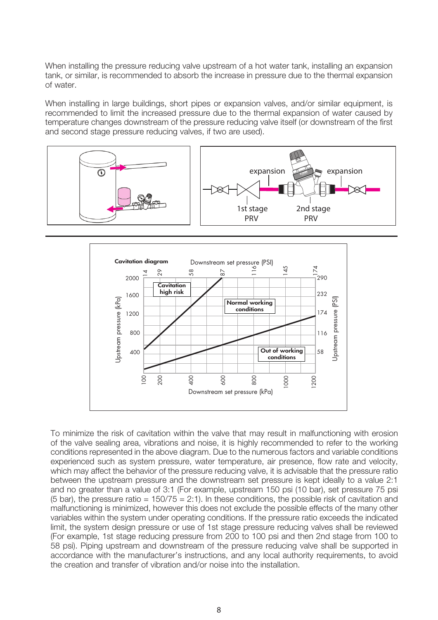When installing the pressure reducing valve upstream of a hot water tank, installing an expansion tank, or similar, is recommended to absorb the increase in pressure due to the thermal expansion of water.

When installing in large buildings, short pipes or expansion valves, and/or similar equipment, is recommended to limit the increased pressure due to the thermal expansion of water caused by temperature changes downstream of the pressure reducing valve itself (or downstream of the first and second stage pressure reducing valves, if two are used).





To minimize the risk of cavitation within the valve that may result in malfunctioning with erosion of the valve sealing area, vibrations and noise, it is highly recommended to refer to the working conditions represented in the above diagram. Due to the numerous factors and variable conditions experienced such as system pressure, water temperature, air presence, flow rate and velocity, which may affect the behavior of the pressure reducing valve, it is advisable that the pressure ratio between the upstream pressure and the downstream set pressure is kept ideally to a value 2:1 and no greater than a value of 3:1 (For example, upstream 150 psi (10 bar), set pressure 75 psi (5 bar), the pressure ratio =  $150/75 = 2:1$ ). In these conditions, the possible risk of cavitation and malfunctioning is minimized, however this does not exclude the possible effects of the many other variables within the system under operating conditions. If the pressure ratio exceeds the indicated limit, the system design pressure or use of 1st stage pressure reducing valves shall be reviewed (For example, 1st stage reducing pressure from 200 to 100 psi and then 2nd stage from 100 to 58 psi). Piping upstream and downstream of the pressure reducing valve shall be supported in accordance with the manufacturer's instructions, and any local authority requirements, to avoid the creation and transfer of vibration and/or noise into the installation.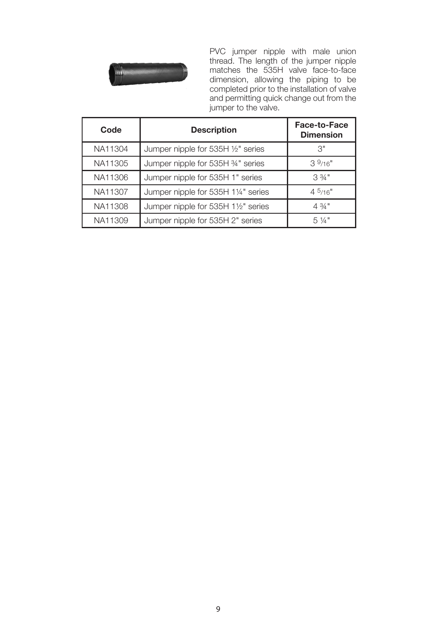

PVC jumper nipple with male union thread. The length of the jumper nipple matches the 535H valve face-to-face dimension, allowing the piping to be completed prior to the installation of valve and permitting quick change out from the jumper to the valve.

| Code    | <b>Description</b>                  | Face-to-Face<br><b>Dimension</b> |
|---------|-------------------------------------|----------------------------------|
| NA11304 | Jumper nipple for 535H 1/2" series  | 3"                               |
| NA11305 | Jumper nipple for 535H %" series    | 39/16"                           |
| NA11306 | Jumper nipple for 535H 1" series    | $3\frac{3}{4}$ "                 |
| NA11307 | Jumper nipple for 535H 11/4" series | 45/16"                           |
| NA11308 | Jumper nipple for 535H 11/2" series | $4.3/4$ "                        |
| NA11309 | Jumper nipple for 535H 2" series    | $5\frac{1}{4}$ "                 |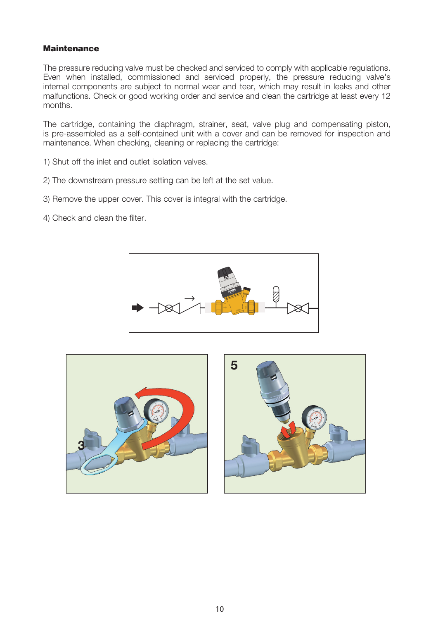## **Maintenance**

The pressure reducing valve must be checked and serviced to comply with applicable regulations. Even when installed, commissioned and serviced properly, the pressure reducing valve's internal components are subject to normal wear and tear, which may result in leaks and other malfunctions. Check or good working order and service and clean the cartridge at least every 12 months.

The cartridge, containing the diaphragm, strainer, seat, valve plug and compensating piston, is pre-assembled as a self-contained unit with a cover and can be removed for inspection and maintenance. When checking, cleaning or replacing the cartridge:

- 1) Shut off the inlet and outlet isolation valves.
- 2) The downstream pressure setting can be left at the set value.
- 3) Remove the upper cover. This cover is integral with the cartridge.
- 4) Check and clean the filter.





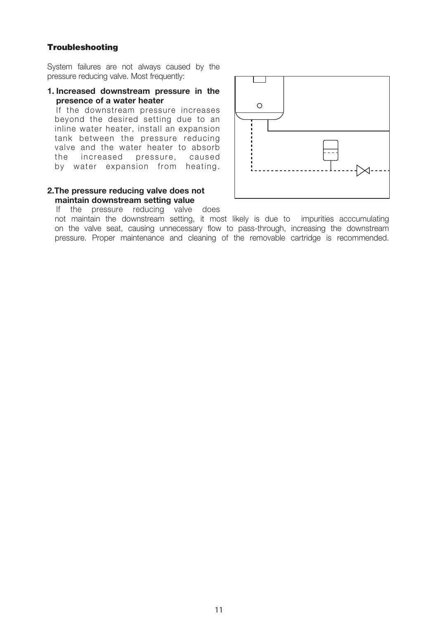#### **Troubleshooting**

System failures are not always caused by the pressure reducing valve. Most frequently:

1. Increased downstream pressure in the presence of a water heater

If the downstream pressure increases beyond the desired setting due to an inline water heater, install an expansion tank between the pressure reducing valve and the water heater to absorb the increased pressure, caused by water expansion from heating.

#### 2.The pressure reducing valve does not maintain downstream setting value



If the pressure reducing valve does not maintain the downstream setting, it most likely is due to impurities acccumulating on the valve seat, causing unnecessary flow to pass-through, increasing the downstream pressure. Proper maintenance and cleaning of the removable cartridge is recommended.